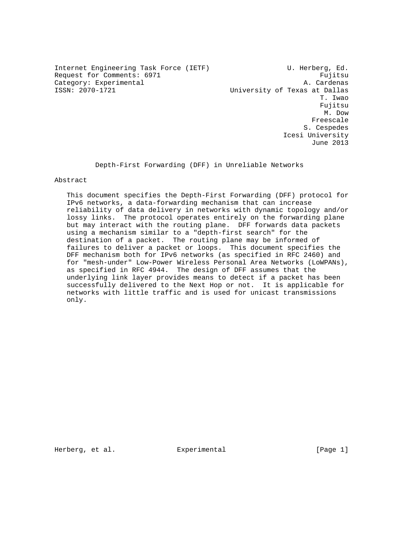Internet Engineering Task Force (IETF) U. Herberg, Ed. Request for Comments: 6971 Fujitsu Category: Experimental A. Cardenas

University of Texas at Dallas T. Iwao Fujitsu M. Dow Freescale S. Cespedes Icesi University June 2013

Depth-First Forwarding (DFF) in Unreliable Networks

Abstract

 This document specifies the Depth-First Forwarding (DFF) protocol for IPv6 networks, a data-forwarding mechanism that can increase reliability of data delivery in networks with dynamic topology and/or lossy links. The protocol operates entirely on the forwarding plane but may interact with the routing plane. DFF forwards data packets using a mechanism similar to a "depth-first search" for the destination of a packet. The routing plane may be informed of failures to deliver a packet or loops. This document specifies the DFF mechanism both for IPv6 networks (as specified in RFC 2460) and for "mesh-under" Low-Power Wireless Personal Area Networks (LoWPANs), as specified in RFC 4944. The design of DFF assumes that the underlying link layer provides means to detect if a packet has been successfully delivered to the Next Hop or not. It is applicable for networks with little traffic and is used for unicast transmissions only.

Herberg, et al. **Experimental** Experimental [Page 1]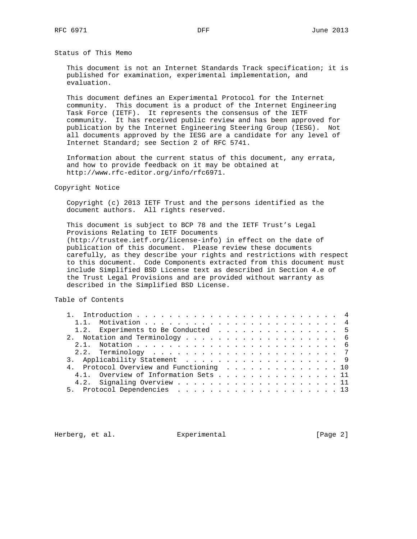Status of This Memo

 This document is not an Internet Standards Track specification; it is published for examination, experimental implementation, and evaluation.

 This document defines an Experimental Protocol for the Internet community. This document is a product of the Internet Engineering Task Force (IETF). It represents the consensus of the IETF community. It has received public review and has been approved for publication by the Internet Engineering Steering Group (IESG). Not all documents approved by the IESG are a candidate for any level of Internet Standard; see Section 2 of RFC 5741.

 Information about the current status of this document, any errata, and how to provide feedback on it may be obtained at http://www.rfc-editor.org/info/rfc6971.

Copyright Notice

 Copyright (c) 2013 IETF Trust and the persons identified as the document authors. All rights reserved.

 This document is subject to BCP 78 and the IETF Trust's Legal Provisions Relating to IETF Documents (http://trustee.ietf.org/license-info) in effect on the date of publication of this document. Please review these documents carefully, as they describe your rights and restrictions with respect to this document. Code Components extracted from this document must include Simplified BSD License text as described in Section 4.e of the Trust Legal Provisions and are provided without warranty as described in the Simplified BSD License.

Table of Contents

|  | 1.2. Experiments to Be Conducted 5      |  |
|--|-----------------------------------------|--|
|  |                                         |  |
|  |                                         |  |
|  |                                         |  |
|  | 3. Applicability Statement 9            |  |
|  | 4. Protocol Overview and Functioning 10 |  |
|  | 4.1. Overview of Information Sets 11    |  |
|  |                                         |  |
|  |                                         |  |

Herberg, et al. Experimental [Page 2]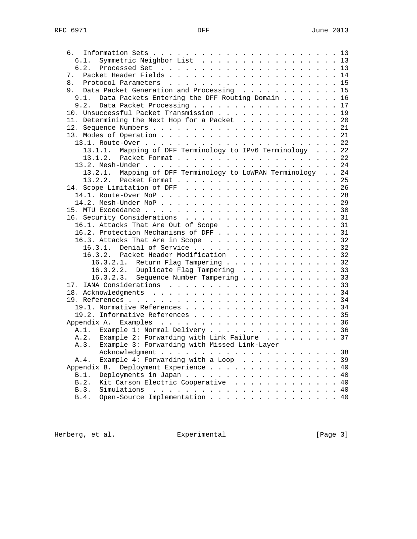| 6.                                                           |  |  |  |  |  |  |  |  |  |  |  |
|--------------------------------------------------------------|--|--|--|--|--|--|--|--|--|--|--|
| Symmetric Neighbor List 13<br>6.1.                           |  |  |  |  |  |  |  |  |  |  |  |
| 6.2.                                                         |  |  |  |  |  |  |  |  |  |  |  |
| 7.                                                           |  |  |  |  |  |  |  |  |  |  |  |
| 8.                                                           |  |  |  |  |  |  |  |  |  |  |  |
| 9. Data Packet Generation and Processing 15                  |  |  |  |  |  |  |  |  |  |  |  |
| Data Packets Entering the DFF Routing Domain 16<br>9.1.      |  |  |  |  |  |  |  |  |  |  |  |
| Data Packet Processing 17<br>9.2.                            |  |  |  |  |  |  |  |  |  |  |  |
| 10. Unsuccessful Packet Transmission 19                      |  |  |  |  |  |  |  |  |  |  |  |
|                                                              |  |  |  |  |  |  |  |  |  |  |  |
| 11. Determining the Next Hop for a Packet 20                 |  |  |  |  |  |  |  |  |  |  |  |
|                                                              |  |  |  |  |  |  |  |  |  |  |  |
|                                                              |  |  |  |  |  |  |  |  |  |  |  |
|                                                              |  |  |  |  |  |  |  |  |  |  |  |
| Mapping of DFF Terminology to IPv6 Terminology 22<br>13.1.1. |  |  |  |  |  |  |  |  |  |  |  |
| 13.1.2.                                                      |  |  |  |  |  |  |  |  |  |  |  |
|                                                              |  |  |  |  |  |  |  |  |  |  |  |
| 13.2.1. Mapping of DFF Terminology to LoWPAN Terminology 24  |  |  |  |  |  |  |  |  |  |  |  |
|                                                              |  |  |  |  |  |  |  |  |  |  |  |
|                                                              |  |  |  |  |  |  |  |  |  |  |  |
|                                                              |  |  |  |  |  |  |  |  |  |  |  |
|                                                              |  |  |  |  |  |  |  |  |  |  |  |
|                                                              |  |  |  |  |  |  |  |  |  |  |  |
| 16. Security Considerations 31                               |  |  |  |  |  |  |  |  |  |  |  |
| 16.1. Attacks That Are Out of Scope 31                       |  |  |  |  |  |  |  |  |  |  |  |
| 16.2. Protection Mechanisms of DFF 31                        |  |  |  |  |  |  |  |  |  |  |  |
| 16.3. Attacks That Are in Scope 32                           |  |  |  |  |  |  |  |  |  |  |  |
| 16.3.1. Denial of Service 32                                 |  |  |  |  |  |  |  |  |  |  |  |
|                                                              |  |  |  |  |  |  |  |  |  |  |  |
| 16.3.2. Packet Header Modification 32                        |  |  |  |  |  |  |  |  |  |  |  |
| 16.3.2.1. Return Flag Tampering 32                           |  |  |  |  |  |  |  |  |  |  |  |
| 16.3.2.2. Duplicate Flag Tampering 33                        |  |  |  |  |  |  |  |  |  |  |  |
| Sequence Number Tampering 33<br>16.3.2.3.                    |  |  |  |  |  |  |  |  |  |  |  |
|                                                              |  |  |  |  |  |  |  |  |  |  |  |
|                                                              |  |  |  |  |  |  |  |  |  |  |  |
|                                                              |  |  |  |  |  |  |  |  |  |  |  |
| 19.1. Normative References 34                                |  |  |  |  |  |  |  |  |  |  |  |
| 19.2. Informative References 35                              |  |  |  |  |  |  |  |  |  |  |  |
|                                                              |  |  |  |  |  |  |  |  |  |  |  |
| Example 1: Normal Delivery 36<br>A.1.                        |  |  |  |  |  |  |  |  |  |  |  |
| A.2.<br>Example 2: Forwarding with Link Failure 37           |  |  |  |  |  |  |  |  |  |  |  |
| Example 3: Forwarding with Missed Link-Layer<br>A.3.         |  |  |  |  |  |  |  |  |  |  |  |
|                                                              |  |  |  |  |  |  |  |  |  |  |  |
| Example 4: Forwarding with a Loop 39<br>A.4.                 |  |  |  |  |  |  |  |  |  |  |  |
| Deployment Experience 40<br>Appendix B.                      |  |  |  |  |  |  |  |  |  |  |  |
| Deployments in Japan 40<br>B.1.                              |  |  |  |  |  |  |  |  |  |  |  |
| Kit Carson Electric Cooperative 40<br>B.2.                   |  |  |  |  |  |  |  |  |  |  |  |
| B.3.                                                         |  |  |  |  |  |  |  |  |  |  |  |
| Open-Source Implementation 40<br>B.4.                        |  |  |  |  |  |  |  |  |  |  |  |
|                                                              |  |  |  |  |  |  |  |  |  |  |  |

Herberg, et al. Experimental Experimental [Page 3]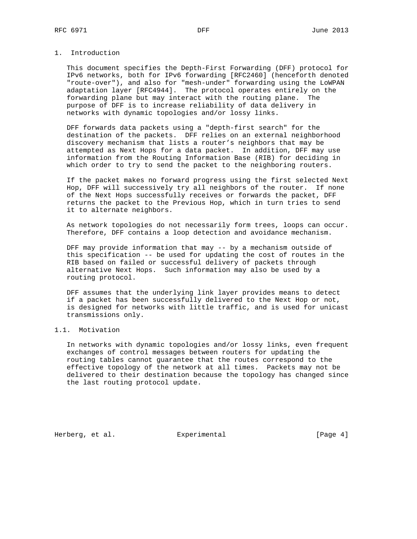## 1. Introduction

 This document specifies the Depth-First Forwarding (DFF) protocol for IPv6 networks, both for IPv6 forwarding [RFC2460] (henceforth denoted "route-over"), and also for "mesh-under" forwarding using the LoWPAN adaptation layer [RFC4944]. The protocol operates entirely on the forwarding plane but may interact with the routing plane. The purpose of DFF is to increase reliability of data delivery in networks with dynamic topologies and/or lossy links.

 DFF forwards data packets using a "depth-first search" for the destination of the packets. DFF relies on an external neighborhood discovery mechanism that lists a router's neighbors that may be attempted as Next Hops for a data packet. In addition, DFF may use information from the Routing Information Base (RIB) for deciding in which order to try to send the packet to the neighboring routers.

 If the packet makes no forward progress using the first selected Next Hop, DFF will successively try all neighbors of the router. If none of the Next Hops successfully receives or forwards the packet, DFF returns the packet to the Previous Hop, which in turn tries to send it to alternate neighbors.

 As network topologies do not necessarily form trees, loops can occur. Therefore, DFF contains a loop detection and avoidance mechanism.

 DFF may provide information that may -- by a mechanism outside of this specification -- be used for updating the cost of routes in the RIB based on failed or successful delivery of packets through alternative Next Hops. Such information may also be used by a routing protocol.

 DFF assumes that the underlying link layer provides means to detect if a packet has been successfully delivered to the Next Hop or not, is designed for networks with little traffic, and is used for unicast transmissions only.

# 1.1. Motivation

 In networks with dynamic topologies and/or lossy links, even frequent exchanges of control messages between routers for updating the routing tables cannot guarantee that the routes correspond to the effective topology of the network at all times. Packets may not be delivered to their destination because the topology has changed since the last routing protocol update.

Herberg, et al. Experimental [Page 4]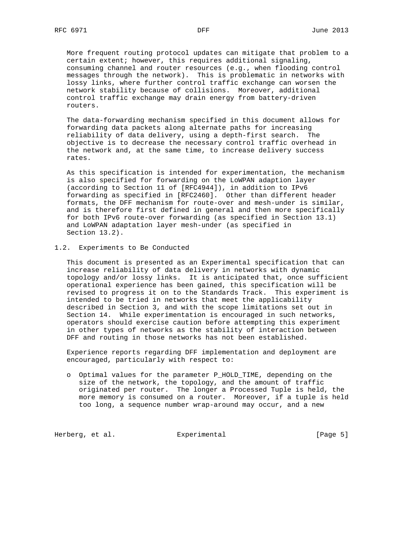More frequent routing protocol updates can mitigate that problem to a certain extent; however, this requires additional signaling, consuming channel and router resources (e.g., when flooding control messages through the network). This is problematic in networks with lossy links, where further control traffic exchange can worsen the network stability because of collisions. Moreover, additional control traffic exchange may drain energy from battery-driven routers.

 The data-forwarding mechanism specified in this document allows for forwarding data packets along alternate paths for increasing reliability of data delivery, using a depth-first search. The objective is to decrease the necessary control traffic overhead in the network and, at the same time, to increase delivery success rates.

 As this specification is intended for experimentation, the mechanism is also specified for forwarding on the LoWPAN adaption layer (according to Section 11 of [RFC4944]), in addition to IPv6 forwarding as specified in [RFC2460]. Other than different header formats, the DFF mechanism for route-over and mesh-under is similar, and is therefore first defined in general and then more specifically for both IPv6 route-over forwarding (as specified in Section 13.1) and LoWPAN adaptation layer mesh-under (as specified in Section 13.2).

### 1.2. Experiments to Be Conducted

 This document is presented as an Experimental specification that can increase reliability of data delivery in networks with dynamic topology and/or lossy links. It is anticipated that, once sufficient operational experience has been gained, this specification will be revised to progress it on to the Standards Track. This experiment is intended to be tried in networks that meet the applicability described in Section 3, and with the scope limitations set out in Section 14. While experimentation is encouraged in such networks, operators should exercise caution before attempting this experiment in other types of networks as the stability of interaction between DFF and routing in those networks has not been established.

 Experience reports regarding DFF implementation and deployment are encouraged, particularly with respect to:

 o Optimal values for the parameter P\_HOLD\_TIME, depending on the size of the network, the topology, and the amount of traffic originated per router. The longer a Processed Tuple is held, the more memory is consumed on a router. Moreover, if a tuple is held too long, a sequence number wrap-around may occur, and a new

Herberg, et al. Experimental Experimental [Page 5]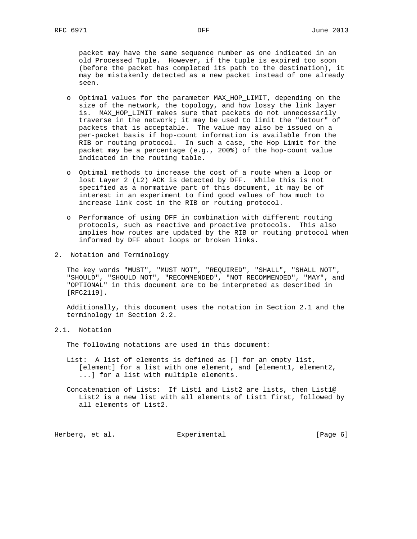packet may have the same sequence number as one indicated in an old Processed Tuple. However, if the tuple is expired too soon (before the packet has completed its path to the destination), it may be mistakenly detected as a new packet instead of one already seen.

- o Optimal values for the parameter MAX\_HOP\_LIMIT, depending on the size of the network, the topology, and how lossy the link layer is. MAX\_HOP\_LIMIT makes sure that packets do not unnecessarily traverse in the network; it may be used to limit the "detour" of packets that is acceptable. The value may also be issued on a per-packet basis if hop-count information is available from the RIB or routing protocol. In such a case, the Hop Limit for the packet may be a percentage (e.g., 200%) of the hop-count value indicated in the routing table.
- o Optimal methods to increase the cost of a route when a loop or lost Layer 2 (L2) ACK is detected by DFF. While this is not specified as a normative part of this document, it may be of interest in an experiment to find good values of how much to increase link cost in the RIB or routing protocol.
- o Performance of using DFF in combination with different routing protocols, such as reactive and proactive protocols. This also implies how routes are updated by the RIB or routing protocol when informed by DFF about loops or broken links.
- 2. Notation and Terminology

 The key words "MUST", "MUST NOT", "REQUIRED", "SHALL", "SHALL NOT", "SHOULD", "SHOULD NOT", "RECOMMENDED", "NOT RECOMMENDED", "MAY", and "OPTIONAL" in this document are to be interpreted as described in [RFC2119].

 Additionally, this document uses the notation in Section 2.1 and the terminology in Section 2.2.

# 2.1. Notation

The following notations are used in this document:

- List: A list of elements is defined as [] for an empty list, [element] for a list with one element, and [element1, element2, ...] for a list with multiple elements.
- Concatenation of Lists: If List1 and List2 are lists, then List1@ List2 is a new list with all elements of List1 first, followed by all elements of List2.

Herberg, et al. Experimental [Page 6]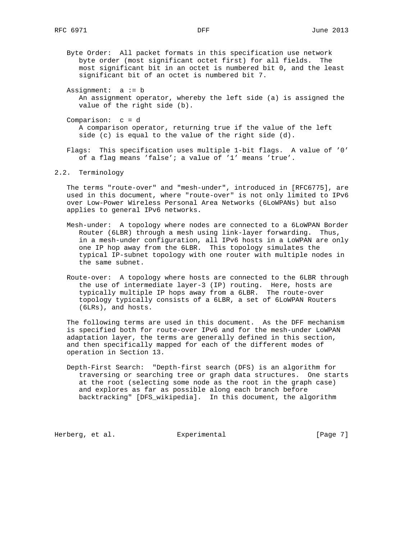Byte Order: All packet formats in this specification use network byte order (most significant octet first) for all fields. The most significant bit in an octet is numbered bit 0, and the least significant bit of an octet is numbered bit 7.

 Assignment: a := b An assignment operator, whereby the left side (a) is assigned the value of the right side (b).

 Comparison: c = d A comparison operator, returning true if the value of the left side (c) is equal to the value of the right side (d).

 Flags: This specification uses multiple 1-bit flags. A value of '0' of a flag means 'false'; a value of '1' means 'true'.

2.2. Terminology

 The terms "route-over" and "mesh-under", introduced in [RFC6775], are used in this document, where "route-over" is not only limited to IPv6 over Low-Power Wireless Personal Area Networks (6LoWPANs) but also applies to general IPv6 networks.

- Mesh-under: A topology where nodes are connected to a 6LoWPAN Border Router (6LBR) through a mesh using link-layer forwarding. Thus, in a mesh-under configuration, all IPv6 hosts in a LoWPAN are only one IP hop away from the 6LBR. This topology simulates the typical IP-subnet topology with one router with multiple nodes in the same subnet.
- Route-over: A topology where hosts are connected to the 6LBR through the use of intermediate layer-3 (IP) routing. Here, hosts are typically multiple IP hops away from a 6LBR. The route-over topology typically consists of a 6LBR, a set of 6LoWPAN Routers (6LRs), and hosts.

 The following terms are used in this document. As the DFF mechanism is specified both for route-over IPv6 and for the mesh-under LoWPAN adaptation layer, the terms are generally defined in this section, and then specifically mapped for each of the different modes of operation in Section 13.

 Depth-First Search: "Depth-first search (DFS) is an algorithm for traversing or searching tree or graph data structures. One starts at the root (selecting some node as the root in the graph case) and explores as far as possible along each branch before backtracking" [DFS\_wikipedia]. In this document, the algorithm

Herberg, et al. Experimental [Page 7]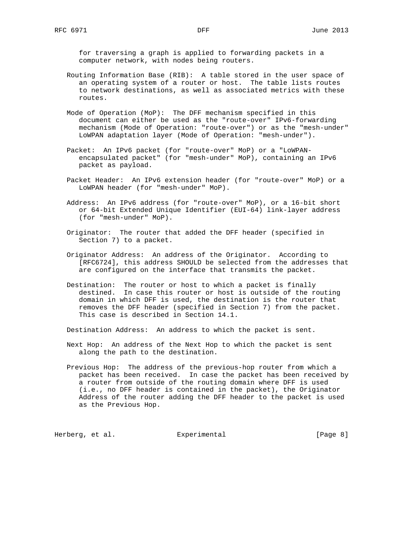for traversing a graph is applied to forwarding packets in a computer network, with nodes being routers.

- Routing Information Base (RIB): A table stored in the user space of an operating system of a router or host. The table lists routes to network destinations, as well as associated metrics with these routes.
- Mode of Operation (MoP): The DFF mechanism specified in this document can either be used as the "route-over" IPv6-forwarding mechanism (Mode of Operation: "route-over") or as the "mesh-under" LoWPAN adaptation layer (Mode of Operation: "mesh-under").
- Packet: An IPv6 packet (for "route-over" MoP) or a "LoWPAN encapsulated packet" (for "mesh-under" MoP), containing an IPv6 packet as payload.
- Packet Header: An IPv6 extension header (for "route-over" MoP) or a LoWPAN header (for "mesh-under" MoP).
- Address: An IPv6 address (for "route-over" MoP), or a 16-bit short or 64-bit Extended Unique Identifier (EUI-64) link-layer address (for "mesh-under" MoP).
- Originator: The router that added the DFF header (specified in Section 7) to a packet.
- Originator Address: An address of the Originator. According to [RFC6724], this address SHOULD be selected from the addresses that are configured on the interface that transmits the packet.
- Destination: The router or host to which a packet is finally destined. In case this router or host is outside of the routing domain in which DFF is used, the destination is the router that removes the DFF header (specified in Section 7) from the packet. This case is described in Section 14.1.

Destination Address: An address to which the packet is sent.

- Next Hop: An address of the Next Hop to which the packet is sent along the path to the destination.
- Previous Hop: The address of the previous-hop router from which a packet has been received. In case the packet has been received by a router from outside of the routing domain where DFF is used (i.e., no DFF header is contained in the packet), the Originator Address of the router adding the DFF header to the packet is used as the Previous Hop.

Herberg, et al. Experimental Experimental [Page 8]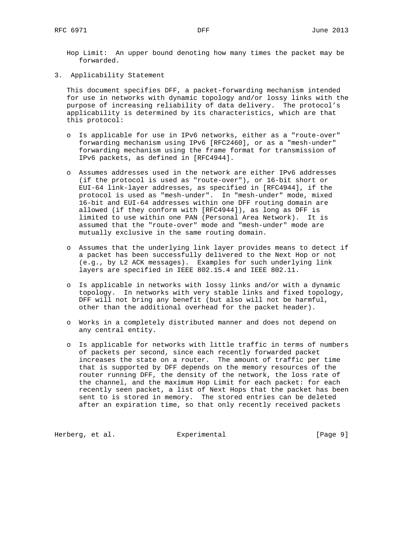Hop Limit: An upper bound denoting how many times the packet may be forwarded.

3. Applicability Statement

 This document specifies DFF, a packet-forwarding mechanism intended for use in networks with dynamic topology and/or lossy links with the purpose of increasing reliability of data delivery. The protocol's applicability is determined by its characteristics, which are that this protocol:

- o Is applicable for use in IPv6 networks, either as a "route-over" forwarding mechanism using IPv6 [RFC2460], or as a "mesh-under" forwarding mechanism using the frame format for transmission of IPv6 packets, as defined in [RFC4944].
- o Assumes addresses used in the network are either IPv6 addresses (if the protocol is used as "route-over"), or 16-bit short or EUI-64 link-layer addresses, as specified in [RFC4944], if the protocol is used as "mesh-under". In "mesh-under" mode, mixed 16-bit and EUI-64 addresses within one DFF routing domain are allowed (if they conform with [RFC4944]), as long as DFF is limited to use within one PAN (Personal Area Network). It is assumed that the "route-over" mode and "mesh-under" mode are mutually exclusive in the same routing domain.
- o Assumes that the underlying link layer provides means to detect if a packet has been successfully delivered to the Next Hop or not (e.g., by L2 ACK messages). Examples for such underlying link layers are specified in IEEE 802.15.4 and IEEE 802.11.
- o Is applicable in networks with lossy links and/or with a dynamic topology. In networks with very stable links and fixed topology, DFF will not bring any benefit (but also will not be harmful, other than the additional overhead for the packet header).
- o Works in a completely distributed manner and does not depend on any central entity.
- o Is applicable for networks with little traffic in terms of numbers of packets per second, since each recently forwarded packet increases the state on a router. The amount of traffic per time that is supported by DFF depends on the memory resources of the router running DFF, the density of the network, the loss rate of the channel, and the maximum Hop Limit for each packet: for each recently seen packet, a list of Next Hops that the packet has been sent to is stored in memory. The stored entries can be deleted after an expiration time, so that only recently received packets

Herberg, et al. **Experimental** Experimental [Page 9]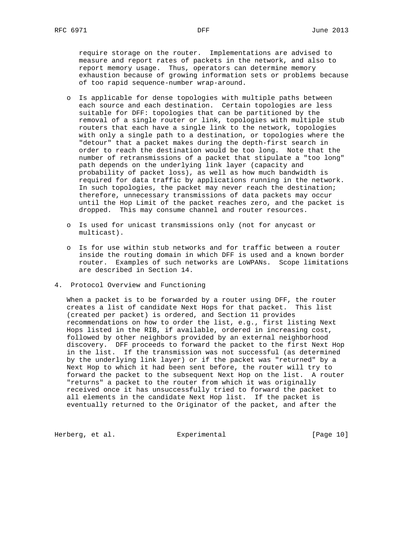require storage on the router. Implementations are advised to measure and report rates of packets in the network, and also to report memory usage. Thus, operators can determine memory exhaustion because of growing information sets or problems because of too rapid sequence-number wrap-around.

- o Is applicable for dense topologies with multiple paths between each source and each destination. Certain topologies are less suitable for DFF: topologies that can be partitioned by the removal of a single router or link, topologies with multiple stub routers that each have a single link to the network, topologies with only a single path to a destination, or topologies where the "detour" that a packet makes during the depth-first search in order to reach the destination would be too long. Note that the number of retransmissions of a packet that stipulate a "too long" path depends on the underlying link layer (capacity and probability of packet loss), as well as how much bandwidth is required for data traffic by applications running in the network. In such topologies, the packet may never reach the destination; therefore, unnecessary transmissions of data packets may occur until the Hop Limit of the packet reaches zero, and the packet is dropped. This may consume channel and router resources.
- o Is used for unicast transmissions only (not for anycast or multicast).
- o Is for use within stub networks and for traffic between a router inside the routing domain in which DFF is used and a known border router. Examples of such networks are LoWPANs. Scope limitations are described in Section 14.
- 4. Protocol Overview and Functioning

 When a packet is to be forwarded by a router using DFF, the router creates a list of candidate Next Hops for that packet. This list (created per packet) is ordered, and Section 11 provides recommendations on how to order the list, e.g., first listing Next Hops listed in the RIB, if available, ordered in increasing cost, followed by other neighbors provided by an external neighborhood discovery. DFF proceeds to forward the packet to the first Next Hop in the list. If the transmission was not successful (as determined by the underlying link layer) or if the packet was "returned" by a Next Hop to which it had been sent before, the router will try to forward the packet to the subsequent Next Hop on the list. A router "returns" a packet to the router from which it was originally received once it has unsuccessfully tried to forward the packet to all elements in the candidate Next Hop list. If the packet is eventually returned to the Originator of the packet, and after the

Herberg, et al. **Experimental** [Page 10]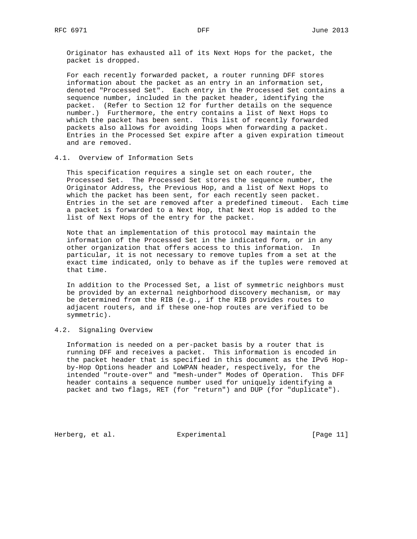Originator has exhausted all of its Next Hops for the packet, the packet is dropped.

 For each recently forwarded packet, a router running DFF stores information about the packet as an entry in an information set, denoted "Processed Set". Each entry in the Processed Set contains a sequence number, included in the packet header, identifying the packet. (Refer to Section 12 for further details on the sequence number.) Furthermore, the entry contains a list of Next Hops to which the packet has been sent. This list of recently forwarded packets also allows for avoiding loops when forwarding a packet. Entries in the Processed Set expire after a given expiration timeout and are removed.

### 4.1. Overview of Information Sets

 This specification requires a single set on each router, the Processed Set. The Processed Set stores the sequence number, the Originator Address, the Previous Hop, and a list of Next Hops to which the packet has been sent, for each recently seen packet. Entries in the set are removed after a predefined timeout. Each time a packet is forwarded to a Next Hop, that Next Hop is added to the list of Next Hops of the entry for the packet.

 Note that an implementation of this protocol may maintain the information of the Processed Set in the indicated form, or in any other organization that offers access to this information. In particular, it is not necessary to remove tuples from a set at the exact time indicated, only to behave as if the tuples were removed at that time.

 In addition to the Processed Set, a list of symmetric neighbors must be provided by an external neighborhood discovery mechanism, or may be determined from the RIB (e.g., if the RIB provides routes to adjacent routers, and if these one-hop routes are verified to be symmetric).

## 4.2. Signaling Overview

 Information is needed on a per-packet basis by a router that is running DFF and receives a packet. This information is encoded in the packet header that is specified in this document as the IPv6 Hop by-Hop Options header and LoWPAN header, respectively, for the intended "route-over" and "mesh-under" Modes of Operation. This DFF header contains a sequence number used for uniquely identifying a packet and two flags, RET (for "return") and DUP (for "duplicate").

Herberg, et al. Experimental [Page 11]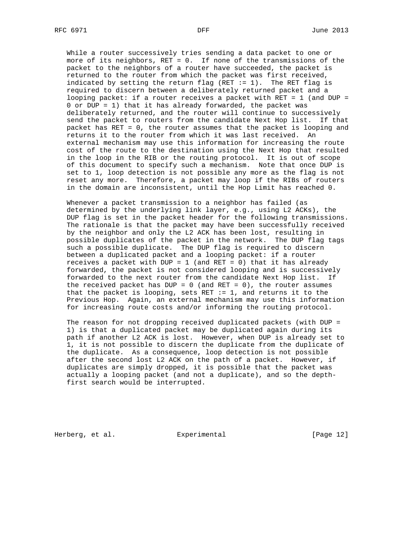While a router successively tries sending a data packet to one or more of its neighbors, RET = 0. If none of the transmissions of the packet to the neighbors of a router have succeeded, the packet is returned to the router from which the packet was first received, indicated by setting the return flag (RET  $:= 1$ ). The RET flag is required to discern between a deliberately returned packet and a looping packet: if a router receives a packet with RET = 1 (and DUP = 0 or DUP = 1) that it has already forwarded, the packet was deliberately returned, and the router will continue to successively send the packet to routers from the candidate Next Hop list. If that packet has RET = 0, the router assumes that the packet is looping and returns it to the router from which it was last received. An external mechanism may use this information for increasing the route cost of the route to the destination using the Next Hop that resulted in the loop in the RIB or the routing protocol. It is out of scope of this document to specify such a mechanism. Note that once DUP is set to 1, loop detection is not possible any more as the flag is not reset any more. Therefore, a packet may loop if the RIBs of routers in the domain are inconsistent, until the Hop Limit has reached 0.

 Whenever a packet transmission to a neighbor has failed (as determined by the underlying link layer, e.g., using L2 ACKs), the DUP flag is set in the packet header for the following transmissions. The rationale is that the packet may have been successfully received by the neighbor and only the L2 ACK has been lost, resulting in possible duplicates of the packet in the network. The DUP flag tags such a possible duplicate. The DUP flag is required to discern between a duplicated packet and a looping packet: if a router receives a packet with DUP =  $1$  (and RET = 0) that it has already forwarded, the packet is not considered looping and is successively forwarded to the next router from the candidate Next Hop list. If the received packet has DUP =  $0$  (and RET = 0), the router assumes that the packet is looping, sets  $REF := 1$ , and returns it to the Previous Hop. Again, an external mechanism may use this information for increasing route costs and/or informing the routing protocol.

 The reason for not dropping received duplicated packets (with DUP = 1) is that a duplicated packet may be duplicated again during its path if another L2 ACK is lost. However, when DUP is already set to 1, it is not possible to discern the duplicate from the duplicate of the duplicate. As a consequence, loop detection is not possible after the second lost L2 ACK on the path of a packet. However, if duplicates are simply dropped, it is possible that the packet was actually a looping packet (and not a duplicate), and so the depth first search would be interrupted.

Herberg, et al.  $\qquad \qquad$  Experimental  $\qquad \qquad$  [Page 12]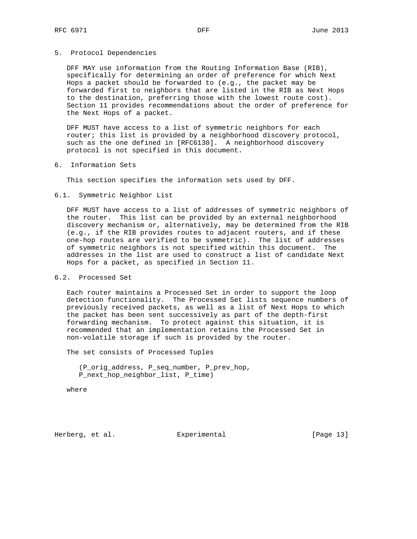#### 5. Protocol Dependencies

 DFF MAY use information from the Routing Information Base (RIB), specifically for determining an order of preference for which Next Hops a packet should be forwarded to (e.g., the packet may be forwarded first to neighbors that are listed in the RIB as Next Hops to the destination, preferring those with the lowest route cost). Section 11 provides recommendations about the order of preference for the Next Hops of a packet.

 DFF MUST have access to a list of symmetric neighbors for each router; this list is provided by a neighborhood discovery protocol, such as the one defined in [RFC6130]. A neighborhood discovery protocol is not specified in this document.

6. Information Sets

This section specifies the information sets used by DFF.

6.1. Symmetric Neighbor List

 DFF MUST have access to a list of addresses of symmetric neighbors of the router. This list can be provided by an external neighborhood discovery mechanism or, alternatively, may be determined from the RIB (e.g., if the RIB provides routes to adjacent routers, and if these one-hop routes are verified to be symmetric). The list of addresses of symmetric neighbors is not specified within this document. The addresses in the list are used to construct a list of candidate Next Hops for a packet, as specified in Section 11.

# 6.2. Processed Set

 Each router maintains a Processed Set in order to support the loop detection functionality. The Processed Set lists sequence numbers of previously received packets, as well as a list of Next Hops to which the packet has been sent successively as part of the depth-first forwarding mechanism. To protect against this situation, it is recommended that an implementation retains the Processed Set in non-volatile storage if such is provided by the router.

The set consists of Processed Tuples

 (P\_orig\_address, P\_seq\_number, P\_prev\_hop, P\_next\_hop\_neighbor\_list, P\_time)

where

Herberg, et al. Experimental [Page 13]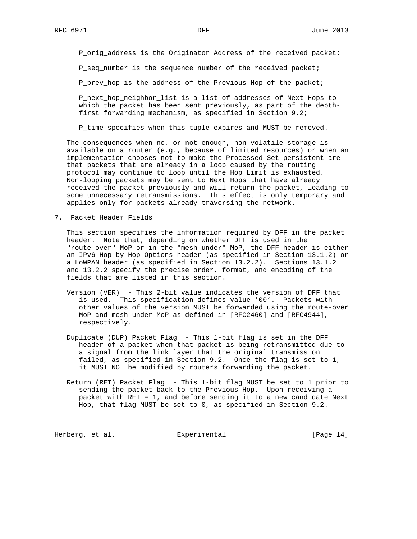P\_orig\_address is the Originator Address of the received packet;

P\_seq\_number is the sequence number of the received packet;

P\_prev\_hop is the address of the Previous Hop of the packet;

 P\_next\_hop\_neighbor\_list is a list of addresses of Next Hops to which the packet has been sent previously, as part of the depth first forwarding mechanism, as specified in Section 9.2;

P\_time specifies when this tuple expires and MUST be removed.

 The consequences when no, or not enough, non-volatile storage is available on a router (e.g., because of limited resources) or when an implementation chooses not to make the Processed Set persistent are that packets that are already in a loop caused by the routing protocol may continue to loop until the Hop Limit is exhausted. Non-looping packets may be sent to Next Hops that have already received the packet previously and will return the packet, leading to some unnecessary retransmissions. This effect is only temporary and applies only for packets already traversing the network.

7. Packet Header Fields

 This section specifies the information required by DFF in the packet header. Note that, depending on whether DFF is used in the "route-over" MoP or in the "mesh-under" MoP, the DFF header is either an IPv6 Hop-by-Hop Options header (as specified in Section 13.1.2) or a LoWPAN header (as specified in Section 13.2.2). Sections 13.1.2 and 13.2.2 specify the precise order, format, and encoding of the fields that are listed in this section.

- Version (VER) This 2-bit value indicates the version of DFF that is used. This specification defines value '00'. Packets with other values of the version MUST be forwarded using the route-over MoP and mesh-under MoP as defined in [RFC2460] and [RFC4944], respectively.
- Duplicate (DUP) Packet Flag This 1-bit flag is set in the DFF header of a packet when that packet is being retransmitted due to a signal from the link layer that the original transmission failed, as specified in Section 9.2. Once the flag is set to 1, it MUST NOT be modified by routers forwarding the packet.
- Return (RET) Packet Flag This 1-bit flag MUST be set to 1 prior to sending the packet back to the Previous Hop. Upon receiving a packet with RET = 1, and before sending it to a new candidate Next Hop, that flag MUST be set to 0, as specified in Section 9.2.

Herberg, et al. **Experimental** [Page 14]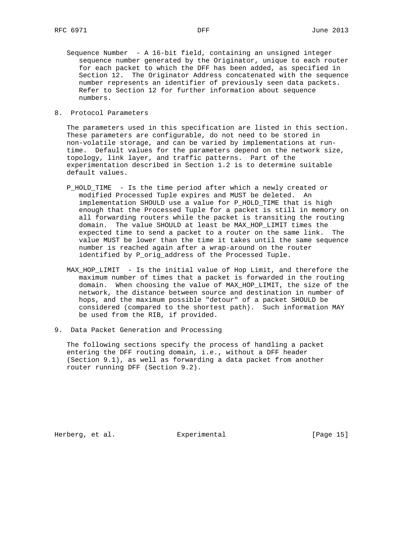- Sequence Number A 16-bit field, containing an unsigned integer sequence number generated by the Originator, unique to each router for each packet to which the DFF has been added, as specified in Section 12. The Originator Address concatenated with the sequence number represents an identifier of previously seen data packets. Refer to Section 12 for further information about sequence numbers.
- 8. Protocol Parameters

 The parameters used in this specification are listed in this section. These parameters are configurable, do not need to be stored in non-volatile storage, and can be varied by implementations at run time. Default values for the parameters depend on the network size, topology, link layer, and traffic patterns. Part of the experimentation described in Section 1.2 is to determine suitable default values.

- P\_HOLD\_TIME Is the time period after which a newly created or modified Processed Tuple expires and MUST be deleted. An implementation SHOULD use a value for P\_HOLD\_TIME that is high enough that the Processed Tuple for a packet is still in memory on all forwarding routers while the packet is transiting the routing domain. The value SHOULD at least be MAX\_HOP\_LIMIT times the expected time to send a packet to a router on the same link. The value MUST be lower than the time it takes until the same sequence number is reached again after a wrap-around on the router identified by P\_orig\_address of the Processed Tuple.
- MAX\_HOP\_LIMIT Is the initial value of Hop Limit, and therefore the maximum number of times that a packet is forwarded in the routing domain. When choosing the value of MAX\_HOP\_LIMIT, the size of the network, the distance between source and destination in number of hops, and the maximum possible "detour" of a packet SHOULD be considered (compared to the shortest path). Such information MAY be used from the RIB, if provided.
- 9. Data Packet Generation and Processing

 The following sections specify the process of handling a packet entering the DFF routing domain, i.e., without a DFF header (Section 9.1), as well as forwarding a data packet from another router running DFF (Section 9.2).

Herberg, et al. Experimental [Page 15]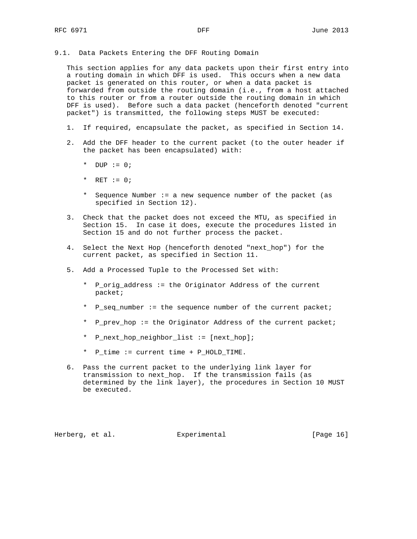9.1. Data Packets Entering the DFF Routing Domain

 This section applies for any data packets upon their first entry into a routing domain in which DFF is used. This occurs when a new data packet is generated on this router, or when a data packet is forwarded from outside the routing domain (i.e., from a host attached to this router or from a router outside the routing domain in which DFF is used). Before such a data packet (henceforth denoted "current packet") is transmitted, the following steps MUST be executed:

- 1. If required, encapsulate the packet, as specified in Section 14.
- 2. Add the DFF header to the current packet (to the outer header if the packet has been encapsulated) with:
	- \* DUP := 0;
	- \* RET  $:= 0;$
	- \* Sequence Number := a new sequence number of the packet (as specified in Section 12).
- 3. Check that the packet does not exceed the MTU, as specified in Section 15. In case it does, execute the procedures listed in Section 15 and do not further process the packet.
- 4. Select the Next Hop (henceforth denoted "next\_hop") for the current packet, as specified in Section 11.
- 5. Add a Processed Tuple to the Processed Set with:
	- \* P\_orig\_address := the Originator Address of the current packet;
	- \* P\_seq\_number := the sequence number of the current packet;
	- \* P\_prev\_hop := the Originator Address of the current packet;
	- \* P\_next\_hop\_neighbor\_list := [next\_hop];
	- \* P\_time := current time + P\_HOLD\_TIME.
- 6. Pass the current packet to the underlying link layer for transmission to next\_hop. If the transmission fails (as determined by the link layer), the procedures in Section 10 MUST be executed.

Herberg, et al. Experimental [Page 16]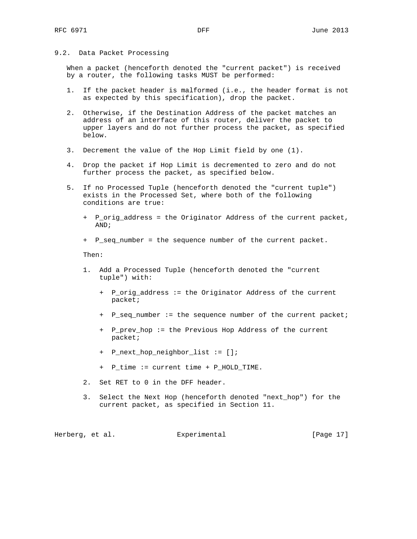## 9.2. Data Packet Processing

 When a packet (henceforth denoted the "current packet") is received by a router, the following tasks MUST be performed:

- 1. If the packet header is malformed (i.e., the header format is not as expected by this specification), drop the packet.
- 2. Otherwise, if the Destination Address of the packet matches an address of an interface of this router, deliver the packet to upper layers and do not further process the packet, as specified below.
- 3. Decrement the value of the Hop Limit field by one (1).
- 4. Drop the packet if Hop Limit is decremented to zero and do not further process the packet, as specified below.
- 5. If no Processed Tuple (henceforth denoted the "current tuple") exists in the Processed Set, where both of the following conditions are true:
	- + P\_orig\_address = the Originator Address of the current packet, AND;
	- + P\_seq\_number = the sequence number of the current packet.

Then:

- 1. Add a Processed Tuple (henceforth denoted the "current tuple") with:
	- + P\_orig\_address := the Originator Address of the current packet;
	- + P\_seq\_number := the sequence number of the current packet;
	- + P\_prev\_hop := the Previous Hop Address of the current packet;
	- + P\_next\_hop\_neighbor\_list := [];
	- + P\_time := current time + P\_HOLD\_TIME.
- 2. Set RET to 0 in the DFF header.
- 3. Select the Next Hop (henceforth denoted "next\_hop") for the current packet, as specified in Section 11.

Herberg, et al. Experimental [Page 17]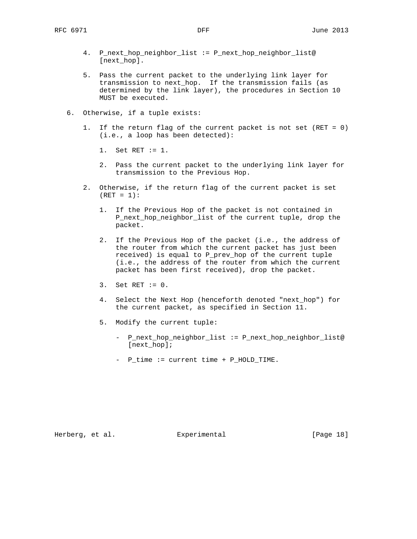- 4. P\_next\_hop\_neighbor\_list := P\_next\_hop\_neighbor\_list@ [next\_hop].
- 5. Pass the current packet to the underlying link layer for transmission to next\_hop. If the transmission fails (as determined by the link layer), the procedures in Section 10 MUST be executed.
- 6. Otherwise, if a tuple exists:
	- 1. If the return flag of the current packet is not set (RET = 0) (i.e., a loop has been detected):
		- 1. Set RET := 1.
		- 2. Pass the current packet to the underlying link layer for transmission to the Previous Hop.
	- 2. Otherwise, if the return flag of the current packet is set  $(RET = 1):$ 
		- 1. If the Previous Hop of the packet is not contained in P\_next\_hop\_neighbor\_list of the current tuple, drop the packet.
		- 2. If the Previous Hop of the packet (i.e., the address of the router from which the current packet has just been received) is equal to P\_prev\_hop of the current tuple (i.e., the address of the router from which the current packet has been first received), drop the packet.
		- 3. Set RET := 0.
		- 4. Select the Next Hop (henceforth denoted "next\_hop") for the current packet, as specified in Section 11.
		- 5. Modify the current tuple:
			- P\_next\_hop\_neighbor\_list := P\_next\_hop\_neighbor\_list@ [next\_hop];
			- P\_time := current time + P\_HOLD\_TIME.

Herberg, et al. **Experimental** [Page 18]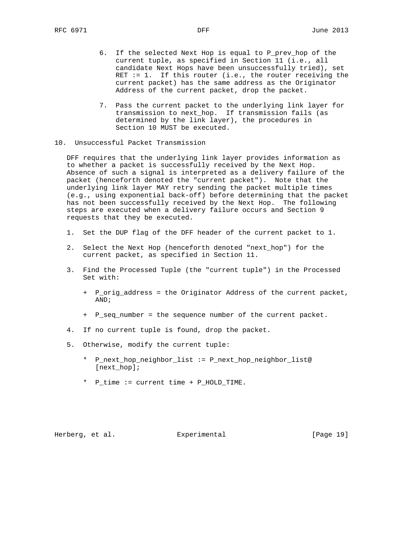- 6. If the selected Next Hop is equal to P\_prev\_hop of the current tuple, as specified in Section 11 (i.e., all candidate Next Hops have been unsuccessfully tried), set RET  $:= 1$ . If this router (i.e., the router receiving the current packet) has the same address as the Originator Address of the current packet, drop the packet.
- 7. Pass the current packet to the underlying link layer for transmission to next\_hop. If transmission fails (as determined by the link layer), the procedures in Section 10 MUST be executed.
- 10. Unsuccessful Packet Transmission

 DFF requires that the underlying link layer provides information as to whether a packet is successfully received by the Next Hop. Absence of such a signal is interpreted as a delivery failure of the packet (henceforth denoted the "current packet"). Note that the underlying link layer MAY retry sending the packet multiple times (e.g., using exponential back-off) before determining that the packet has not been successfully received by the Next Hop. The following steps are executed when a delivery failure occurs and Section 9 requests that they be executed.

- 1. Set the DUP flag of the DFF header of the current packet to 1.
- 2. Select the Next Hop (henceforth denoted "next\_hop") for the current packet, as specified in Section 11.
- 3. Find the Processed Tuple (the "current tuple") in the Processed Set with:
	- + P\_orig\_address = the Originator Address of the current packet, AND;
	- + P\_seq\_number = the sequence number of the current packet.
- 4. If no current tuple is found, drop the packet.
- 5. Otherwise, modify the current tuple:
	- \* P\_next\_hop\_neighbor\_list := P\_next\_hop\_neighbor\_list@ [next\_hop];
	- \* P\_time := current time + P\_HOLD\_TIME.

Herberg, et al.  $\qquad \qquad$  Experimental [Page 19]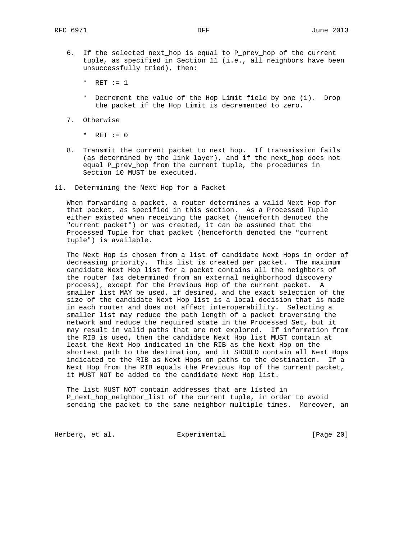6. If the selected next\_hop is equal to P\_prev\_hop of the current tuple, as specified in Section 11 (i.e., all neighbors have been unsuccessfully tried), then:

\* RET  $:= 1$ 

- \* Decrement the value of the Hop Limit field by one (1). Drop the packet if the Hop Limit is decremented to zero.
- 7. Otherwise
	- \*  $RET := 0$
- 8. Transmit the current packet to next\_hop. If transmission fails (as determined by the link layer), and if the next\_hop does not equal P\_prev\_hop from the current tuple, the procedures in Section 10 MUST be executed.
- 11. Determining the Next Hop for a Packet

 When forwarding a packet, a router determines a valid Next Hop for that packet, as specified in this section. As a Processed Tuple either existed when receiving the packet (henceforth denoted the "current packet") or was created, it can be assumed that the Processed Tuple for that packet (henceforth denoted the "current tuple") is available.

 The Next Hop is chosen from a list of candidate Next Hops in order of decreasing priority. This list is created per packet. The maximum candidate Next Hop list for a packet contains all the neighbors of the router (as determined from an external neighborhood discovery process), except for the Previous Hop of the current packet. A smaller list MAY be used, if desired, and the exact selection of the size of the candidate Next Hop list is a local decision that is made in each router and does not affect interoperability. Selecting a smaller list may reduce the path length of a packet traversing the network and reduce the required state in the Processed Set, but it may result in valid paths that are not explored. If information from the RIB is used, then the candidate Next Hop list MUST contain at least the Next Hop indicated in the RIB as the Next Hop on the shortest path to the destination, and it SHOULD contain all Next Hops indicated to the RIB as Next Hops on paths to the destination. If a Next Hop from the RIB equals the Previous Hop of the current packet, it MUST NOT be added to the candidate Next Hop list.

 The list MUST NOT contain addresses that are listed in P\_next\_hop\_neighbor\_list of the current tuple, in order to avoid sending the packet to the same neighbor multiple times. Moreover, an

Herberg, et al. **Experimental** [Page 20]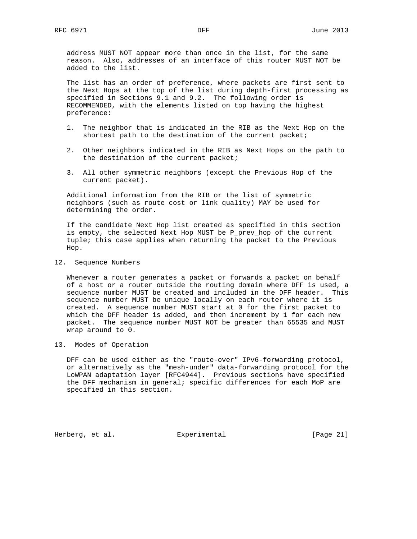address MUST NOT appear more than once in the list, for the same reason. Also, addresses of an interface of this router MUST NOT be added to the list.

 The list has an order of preference, where packets are first sent to the Next Hops at the top of the list during depth-first processing as specified in Sections 9.1 and 9.2. The following order is RECOMMENDED, with the elements listed on top having the highest preference:

- 1. The neighbor that is indicated in the RIB as the Next Hop on the shortest path to the destination of the current packet;
- 2. Other neighbors indicated in the RIB as Next Hops on the path to the destination of the current packet;
- 3. All other symmetric neighbors (except the Previous Hop of the current packet).

 Additional information from the RIB or the list of symmetric neighbors (such as route cost or link quality) MAY be used for determining the order.

 If the candidate Next Hop list created as specified in this section is empty, the selected Next Hop MUST be P\_prev\_hop of the current tuple; this case applies when returning the packet to the Previous Hop.

12. Sequence Numbers

 Whenever a router generates a packet or forwards a packet on behalf of a host or a router outside the routing domain where DFF is used, a sequence number MUST be created and included in the DFF header. This sequence number MUST be unique locally on each router where it is created. A sequence number MUST start at 0 for the first packet to which the DFF header is added, and then increment by 1 for each new packet. The sequence number MUST NOT be greater than 65535 and MUST wrap around to 0.

13. Modes of Operation

 DFF can be used either as the "route-over" IPv6-forwarding protocol, or alternatively as the "mesh-under" data-forwarding protocol for the LoWPAN adaptation layer [RFC4944]. Previous sections have specified the DFF mechanism in general; specific differences for each MoP are specified in this section.

Herberg, et al. Experimental [Page 21]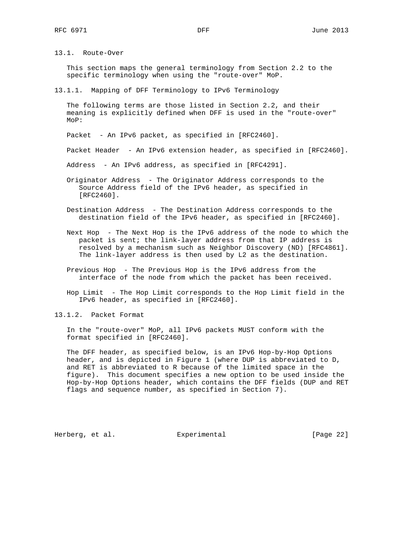13.1. Route-Over

 This section maps the general terminology from Section 2.2 to the specific terminology when using the "route-over" MoP.

13.1.1. Mapping of DFF Terminology to IPv6 Terminology

 The following terms are those listed in Section 2.2, and their meaning is explicitly defined when DFF is used in the "route-over" MoP:

Packet - An IPv6 packet, as specified in [RFC2460].

Packet Header - An IPv6 extension header, as specified in [RFC2460].

Address - An IPv6 address, as specified in [RFC4291].

- Originator Address The Originator Address corresponds to the Source Address field of the IPv6 header, as specified in [RFC2460].
- Destination Address The Destination Address corresponds to the destination field of the IPv6 header, as specified in [RFC2460].
- Next Hop The Next Hop is the IPv6 address of the node to which the packet is sent; the link-layer address from that IP address is resolved by a mechanism such as Neighbor Discovery (ND) [RFC4861]. The link-layer address is then used by L2 as the destination.
- Previous Hop The Previous Hop is the IPv6 address from the interface of the node from which the packet has been received.
- Hop Limit The Hop Limit corresponds to the Hop Limit field in the IPv6 header, as specified in [RFC2460].

13.1.2. Packet Format

 In the "route-over" MoP, all IPv6 packets MUST conform with the format specified in [RFC2460].

 The DFF header, as specified below, is an IPv6 Hop-by-Hop Options header, and is depicted in Figure 1 (where DUP is abbreviated to D, and RET is abbreviated to R because of the limited space in the figure). This document specifies a new option to be used inside the Hop-by-Hop Options header, which contains the DFF fields (DUP and RET flags and sequence number, as specified in Section 7).

Herberg, et al. Experimental [Page 22]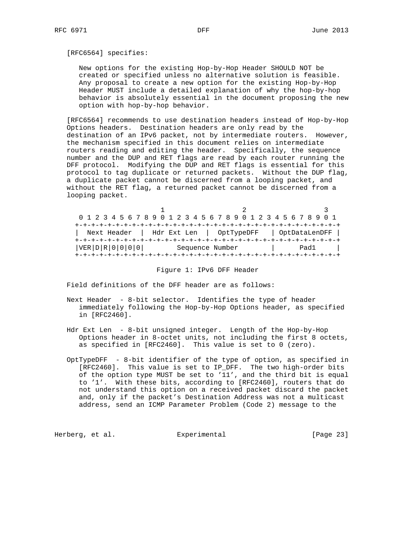### [RFC6564] specifies:

 New options for the existing Hop-by-Hop Header SHOULD NOT be created or specified unless no alternative solution is feasible. Any proposal to create a new option for the existing Hop-by-Hop Header MUST include a detailed explanation of why the hop-by-hop behavior is absolutely essential in the document proposing the new option with hop-by-hop behavior.

 [RFC6564] recommends to use destination headers instead of Hop-by-Hop Options headers. Destination headers are only read by the destination of an IPv6 packet, not by intermediate routers. However, the mechanism specified in this document relies on intermediate routers reading and editing the header. Specifically, the sequence number and the DUP and RET flags are read by each router running the DFF protocol. Modifying the DUP and RET flags is essential for this protocol to tag duplicate or returned packets. Without the DUP flag, a duplicate packet cannot be discerned from a looping packet, and without the RET flag, a returned packet cannot be discerned from a looping packet.

|                 | 0 1 2 3 4 5 6 7 8 9 0 1 2 3 4 5 6 7 8 9 0 1 2 3 4 5 6 7 8 9 0 1 |               |
|-----------------|-----------------------------------------------------------------|---------------|
|                 |                                                                 |               |
| Next Header     | Hdr Ext Len   OptTypeDFF                                        | OptDataLenDFF |
|                 |                                                                 |               |
| VER D R 0 0 0 0 | Sequence Number                                                 | Pad1          |
|                 |                                                                 |               |

#### Figure 1: IPv6 DFF Header

Field definitions of the DFF header are as follows:

- Next Header 8-bit selector. Identifies the type of header immediately following the Hop-by-Hop Options header, as specified in [RFC2460].
- Hdr Ext Len 8-bit unsigned integer. Length of the Hop-by-Hop Options header in 8-octet units, not including the first 8 octets, as specified in [RFC2460]. This value is set to 0 (zero).
- OptTypeDFF 8-bit identifier of the type of option, as specified in [RFC2460]. This value is set to IP\_DFF. The two high-order bits of the option type MUST be set to '11', and the third bit is equal to '1'. With these bits, according to [RFC2460], routers that do not understand this option on a received packet discard the packet and, only if the packet's Destination Address was not a multicast address, send an ICMP Parameter Problem (Code 2) message to the

Herberg, et al. Experimental [Page 23]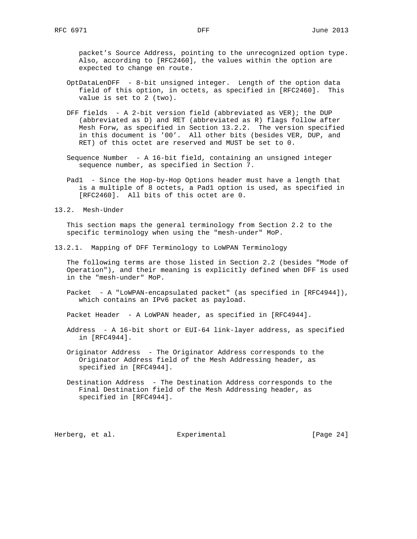packet's Source Address, pointing to the unrecognized option type. Also, according to [RFC2460], the values within the option are expected to change en route.

- OptDataLenDFF 8-bit unsigned integer. Length of the option data field of this option, in octets, as specified in [RFC2460]. This value is set to 2 (two).
- DFF fields A 2-bit version field (abbreviated as VER); the DUP (abbreviated as D) and RET (abbreviated as R) flags follow after Mesh Forw, as specified in Section 13.2.2. The version specified in this document is '00'. All other bits (besides VER, DUP, and RET) of this octet are reserved and MUST be set to 0.
- Sequence Number A 16-bit field, containing an unsigned integer sequence number, as specified in Section 7.
- Pad1 Since the Hop-by-Hop Options header must have a length that is a multiple of 8 octets, a Pad1 option is used, as specified in [RFC2460]. All bits of this octet are 0.
- 13.2. Mesh-Under

 This section maps the general terminology from Section 2.2 to the specific terminology when using the "mesh-under" MoP.

13.2.1. Mapping of DFF Terminology to LoWPAN Terminology

 The following terms are those listed in Section 2.2 (besides "Mode of Operation"), and their meaning is explicitly defined when DFF is used in the "mesh-under" MoP.

Packet - A "LoWPAN-encapsulated packet" (as specified in [RFC4944]), which contains an IPv6 packet as payload.

Packet Header - A LoWPAN header, as specified in [RFC4944].

- Address A 16-bit short or EUI-64 link-layer address, as specified in [RFC4944].
- Originator Address The Originator Address corresponds to the Originator Address field of the Mesh Addressing header, as specified in [RFC4944].
- Destination Address The Destination Address corresponds to the Final Destination field of the Mesh Addressing header, as specified in [RFC4944].

Herberg, et al. Experimental [Page 24]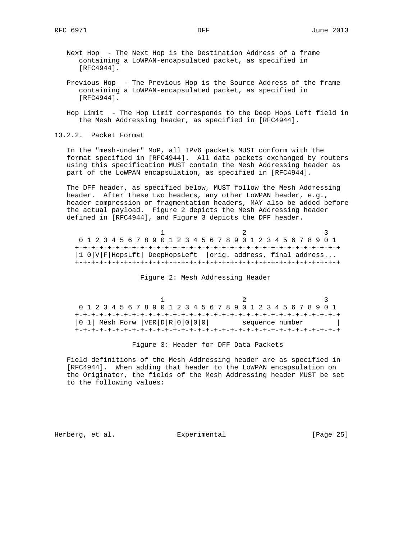- Next Hop The Next Hop is the Destination Address of a frame containing a LoWPAN-encapsulated packet, as specified in [RFC4944].
- Previous Hop The Previous Hop is the Source Address of the frame containing a LoWPAN-encapsulated packet, as specified in [RFC4944].
- Hop Limit The Hop Limit corresponds to the Deep Hops Left field in the Mesh Addressing header, as specified in [RFC4944].

13.2.2. Packet Format

 In the "mesh-under" MoP, all IPv6 packets MUST conform with the format specified in [RFC4944]. All data packets exchanged by routers using this specification MUST contain the Mesh Addressing header as part of the LoWPAN encapsulation, as specified in [RFC4944].

 The DFF header, as specified below, MUST follow the Mesh Addressing header. After these two headers, any other LoWPAN header, e.g., header compression or fragmentation headers, MAY also be added before the actual payload. Figure 2 depicts the Mesh Addressing header defined in [RFC4944], and Figure 3 depicts the DFF header.

|                                                                      |  |  |  | 0 1 2 3 4 5 6 7 8 9 0 1 2 3 4 5 6 7 8 9 0 1 2 3 4 5 6 7 8 9 0 1 |  |  |  |  |  |  |  |  |  |  |  |  |
|----------------------------------------------------------------------|--|--|--|-----------------------------------------------------------------|--|--|--|--|--|--|--|--|--|--|--|--|
|                                                                      |  |  |  |                                                                 |  |  |  |  |  |  |  |  |  |  |  |  |
| $ 1 0  V $ F   HopsLft   DeepHopsLeft   orig. address, final address |  |  |  |                                                                 |  |  |  |  |  |  |  |  |  |  |  |  |
|                                                                      |  |  |  |                                                                 |  |  |  |  |  |  |  |  |  |  |  |  |

Figure 2: Mesh Addressing Header

|                                       | 0 1 2 3 4 5 6 7 8 9 0 1 2 3 4 5 6 7 8 9 0 1 2 3 4 5 6 7 8 9 0 1 |  |
|---------------------------------------|-----------------------------------------------------------------|--|
|                                       |                                                                 |  |
| $ 0 1 $ Mesh Forw $ VER D R 0 0 0 0 $ | sequence number                                                 |  |
|                                       |                                                                 |  |

Figure 3: Header for DFF Data Packets

 Field definitions of the Mesh Addressing header are as specified in [RFC4944]. When adding that header to the LoWPAN encapsulation on the Originator, the fields of the Mesh Addressing header MUST be set to the following values:

Herberg, et al. Experimental [Page 25]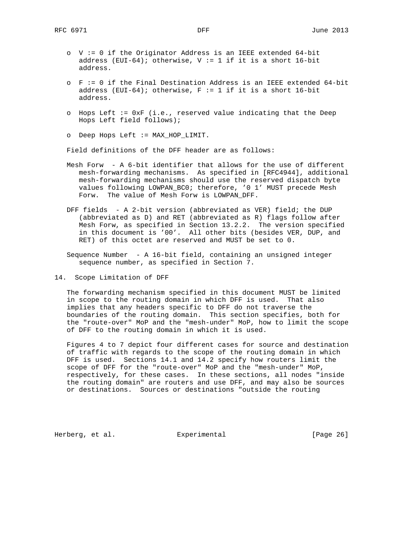- o V := 0 if the Originator Address is an IEEE extended 64-bit address (EUI-64); otherwise,  $V := 1$  if it is a short 16-bit address.
- o F := 0 if the Final Destination Address is an IEEE extended 64-bit address (EUI-64); otherwise,  $F := 1$  if it is a short 16-bit address.
- o Hops Left := 0xF (i.e., reserved value indicating that the Deep Hops Left field follows);
- o Deep Hops Left := MAX\_HOP\_LIMIT.

Field definitions of the DFF header are as follows:

- Mesh Forw A 6-bit identifier that allows for the use of different mesh-forwarding mechanisms. As specified in [RFC4944], additional mesh-forwarding mechanisms should use the reserved dispatch byte values following LOWPAN\_BC0; therefore, '0 1' MUST precede Mesh Forw. The value of Mesh Forw is LOWPAN\_DFF.
- DFF fields A 2-bit version (abbreviated as VER) field; the DUP (abbreviated as D) and RET (abbreviated as R) flags follow after Mesh Forw, as specified in Section 13.2.2. The version specified in this document is '00'. All other bits (besides VER, DUP, and RET) of this octet are reserved and MUST be set to 0.
- Sequence Number A 16-bit field, containing an unsigned integer sequence number, as specified in Section 7.
- 14. Scope Limitation of DFF

 The forwarding mechanism specified in this document MUST be limited in scope to the routing domain in which DFF is used. That also implies that any headers specific to DFF do not traverse the boundaries of the routing domain. This section specifies, both for the "route-over" MoP and the "mesh-under" MoP, how to limit the scope of DFF to the routing domain in which it is used.

 Figures 4 to 7 depict four different cases for source and destination of traffic with regards to the scope of the routing domain in which DFF is used. Sections 14.1 and 14.2 specify how routers limit the scope of DFF for the "route-over" MoP and the "mesh-under" MoP, respectively, for these cases. In these sections, all nodes "inside the routing domain" are routers and use DFF, and may also be sources or destinations. Sources or destinations "outside the routing

Herberg, et al. Experimental [Page 26]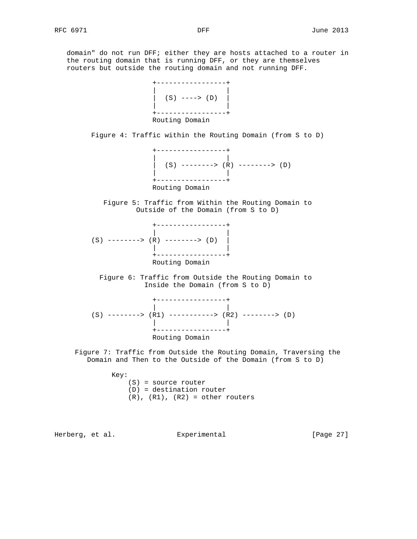domain" do not run DFF; either they are hosts attached to a router in the routing domain that is running DFF, or they are themselves routers but outside the routing domain and not running DFF.



Figure 4: Traffic within the Routing Domain (from S to D)



 Figure 5: Traffic from Within the Routing Domain to Outside of the Domain (from S to D)



 Figure 6: Traffic from Outside the Routing Domain to Inside the Domain (from S to D)

 +-----------------+ | |  $(S)$  -------->  $(R1)$  ---------->  $(R2)$  -------->  $(D)$  | | +-----------------+ Routing Domain

 Figure 7: Traffic from Outside the Routing Domain, Traversing the Domain and Then to the Outside of the Domain (from S to D)

Key:

 (S) = source router (D) = destination router  $(R)$ ,  $(R1)$ ,  $(R2)$  = other routers

Herberg, et al. Experimental [Page 27]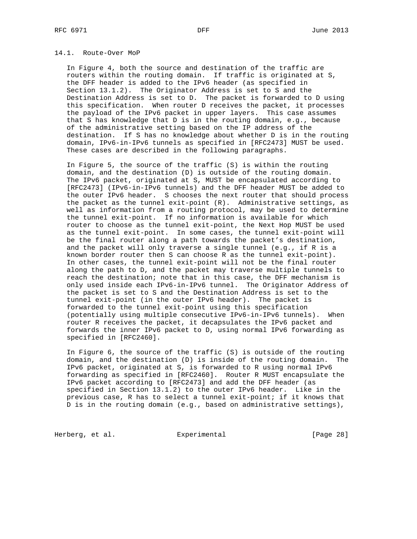## 14.1. Route-Over MoP

 In Figure 4, both the source and destination of the traffic are routers within the routing domain. If traffic is originated at S, the DFF header is added to the IPv6 header (as specified in Section 13.1.2). The Originator Address is set to S and the Destination Address is set to D. The packet is forwarded to D using this specification. When router D receives the packet, it processes the payload of the IPv6 packet in upper layers. This case assumes that S has knowledge that D is in the routing domain, e.g., because of the administrative setting based on the IP address of the destination. If S has no knowledge about whether D is in the routing domain, IPv6-in-IPv6 tunnels as specified in [RFC2473] MUST be used. These cases are described in the following paragraphs.

 In Figure 5, the source of the traffic (S) is within the routing domain, and the destination (D) is outside of the routing domain. The IPv6 packet, originated at S, MUST be encapsulated according to [RFC2473] (IPv6-in-IPv6 tunnels) and the DFF header MUST be added to the outer IPv6 header. S chooses the next router that should process the packet as the tunnel exit-point (R). Administrative settings, as well as information from a routing protocol, may be used to determine the tunnel exit-point. If no information is available for which router to choose as the tunnel exit-point, the Next Hop MUST be used as the tunnel exit-point. In some cases, the tunnel exit-point will be the final router along a path towards the packet's destination, and the packet will only traverse a single tunnel (e.g., if R is a known border router then S can choose R as the tunnel exit-point). In other cases, the tunnel exit-point will not be the final router along the path to D, and the packet may traverse multiple tunnels to reach the destination; note that in this case, the DFF mechanism is only used inside each IPv6-in-IPv6 tunnel. The Originator Address of the packet is set to S and the Destination Address is set to the tunnel exit-point (in the outer IPv6 header). The packet is forwarded to the tunnel exit-point using this specification (potentially using multiple consecutive IPv6-in-IPv6 tunnels). When router R receives the packet, it decapsulates the IPv6 packet and forwards the inner IPv6 packet to D, using normal IPv6 forwarding as specified in [RFC2460].

 In Figure 6, the source of the traffic (S) is outside of the routing domain, and the destination (D) is inside of the routing domain. The IPv6 packet, originated at S, is forwarded to R using normal IPv6 forwarding as specified in [RFC2460]. Router R MUST encapsulate the IPv6 packet according to [RFC2473] and add the DFF header (as specified in Section 13.1.2) to the outer IPv6 header. Like in the previous case, R has to select a tunnel exit-point; if it knows that D is in the routing domain (e.g., based on administrative settings),

Herberg, et al. **Experimental** Experimental [Page 28]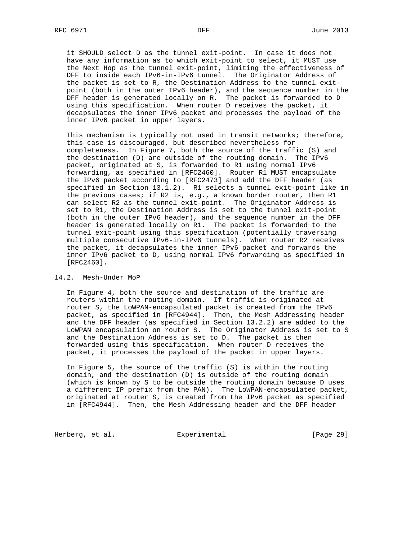it SHOULD select D as the tunnel exit-point. In case it does not have any information as to which exit-point to select, it MUST use the Next Hop as the tunnel exit-point, limiting the effectiveness of DFF to inside each IPv6-in-IPv6 tunnel. The Originator Address of the packet is set to R, the Destination Address to the tunnel exit point (both in the outer IPv6 header), and the sequence number in the DFF header is generated locally on R. The packet is forwarded to D using this specification. When router D receives the packet, it decapsulates the inner IPv6 packet and processes the payload of the inner IPv6 packet in upper layers.

 This mechanism is typically not used in transit networks; therefore, this case is discouraged, but described nevertheless for completeness. In Figure 7, both the source of the traffic (S) and the destination (D) are outside of the routing domain. The IPv6 packet, originated at S, is forwarded to R1 using normal IPv6 forwarding, as specified in [RFC2460]. Router R1 MUST encapsulate the IPv6 packet according to [RFC2473] and add the DFF header (as specified in Section 13.1.2). R1 selects a tunnel exit-point like in the previous cases; if R2 is, e.g., a known border router, then R1 can select R2 as the tunnel exit-point. The Originator Address is set to R1, the Destination Address is set to the tunnel exit-point (both in the outer IPv6 header), and the sequence number in the DFF header is generated locally on R1. The packet is forwarded to the tunnel exit-point using this specification (potentially traversing multiple consecutive IPv6-in-IPv6 tunnels). When router R2 receives the packet, it decapsulates the inner IPv6 packet and forwards the inner IPv6 packet to D, using normal IPv6 forwarding as specified in [RFC2460].

### 14.2. Mesh-Under MoP

 In Figure 4, both the source and destination of the traffic are routers within the routing domain. If traffic is originated at router S, the LoWPAN-encapsulated packet is created from the IPv6 packet, as specified in [RFC4944]. Then, the Mesh Addressing header and the DFF header (as specified in Section 13.2.2) are added to the LoWPAN encapsulation on router S. The Originator Address is set to S and the Destination Address is set to D. The packet is then forwarded using this specification. When router D receives the packet, it processes the payload of the packet in upper layers.

 In Figure 5, the source of the traffic (S) is within the routing domain, and the destination (D) is outside of the routing domain (which is known by S to be outside the routing domain because D uses a different IP prefix from the PAN). The LoWPAN-encapsulated packet, originated at router S, is created from the IPv6 packet as specified in [RFC4944]. Then, the Mesh Addressing header and the DFF header

Herberg, et al. **Experimental** [Page 29]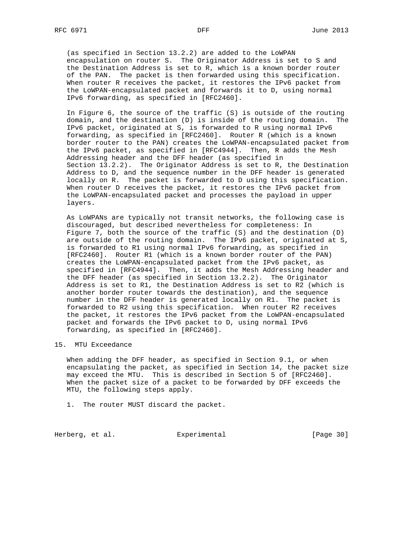(as specified in Section 13.2.2) are added to the LoWPAN encapsulation on router S. The Originator Address is set to S and the Destination Address is set to R, which is a known border router of the PAN. The packet is then forwarded using this specification. When router R receives the packet, it restores the IPv6 packet from the LoWPAN-encapsulated packet and forwards it to D, using normal IPv6 forwarding, as specified in [RFC2460].

 In Figure 6, the source of the traffic (S) is outside of the routing domain, and the destination (D) is inside of the routing domain. The IPv6 packet, originated at S, is forwarded to R using normal IPv6 forwarding, as specified in [RFC2460]. Router R (which is a known border router to the PAN) creates the LoWPAN-encapsulated packet from the IPv6 packet, as specified in [RFC4944]. Then, R adds the Mesh Addressing header and the DFF header (as specified in Section 13.2.2). The Originator Address is set to R, the Destination Address to D, and the sequence number in the DFF header is generated locally on R. The packet is forwarded to D using this specification. When router D receives the packet, it restores the IPv6 packet from the LoWPAN-encapsulated packet and processes the payload in upper layers.

 As LoWPANs are typically not transit networks, the following case is discouraged, but described nevertheless for completeness: In Figure 7, both the source of the traffic (S) and the destination (D) are outside of the routing domain. The IPv6 packet, originated at S, is forwarded to R1 using normal IPv6 forwarding, as specified in [RFC2460]. Router R1 (which is a known border router of the PAN) creates the LoWPAN-encapsulated packet from the IPv6 packet, as specified in [RFC4944]. Then, it adds the Mesh Addressing header and the DFF header (as specified in Section 13.2.2). The Originator Address is set to R1, the Destination Address is set to R2 (which is another border router towards the destination), and the sequence number in the DFF header is generated locally on R1. The packet is forwarded to R2 using this specification. When router R2 receives the packet, it restores the IPv6 packet from the LoWPAN-encapsulated packet and forwards the IPv6 packet to D, using normal IPv6 forwarding, as specified in [RFC2460].

## 15. MTU Exceedance

 When adding the DFF header, as specified in Section 9.1, or when encapsulating the packet, as specified in Section 14, the packet size may exceed the MTU. This is described in Section 5 of [RFC2460]. When the packet size of a packet to be forwarded by DFF exceeds the MTU, the following steps apply.

1. The router MUST discard the packet.

Herberg, et al. **Experimental** [Page 30]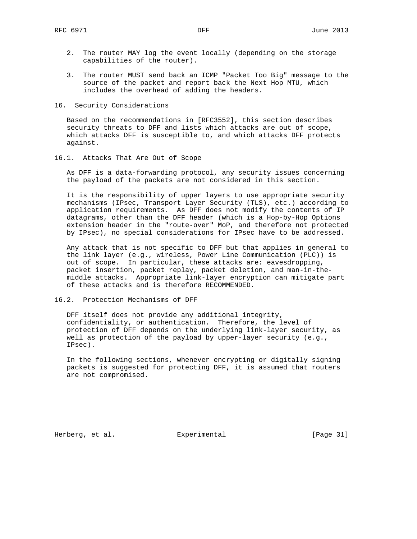- 2. The router MAY log the event locally (depending on the storage capabilities of the router).
- 3. The router MUST send back an ICMP "Packet Too Big" message to the source of the packet and report back the Next Hop MTU, which includes the overhead of adding the headers.
- 16. Security Considerations

 Based on the recommendations in [RFC3552], this section describes security threats to DFF and lists which attacks are out of scope, which attacks DFF is susceptible to, and which attacks DFF protects against.

16.1. Attacks That Are Out of Scope

 As DFF is a data-forwarding protocol, any security issues concerning the payload of the packets are not considered in this section.

 It is the responsibility of upper layers to use appropriate security mechanisms (IPsec, Transport Layer Security (TLS), etc.) according to application requirements. As DFF does not modify the contents of IP datagrams, other than the DFF header (which is a Hop-by-Hop Options extension header in the "route-over" MoP, and therefore not protected by IPsec), no special considerations for IPsec have to be addressed.

 Any attack that is not specific to DFF but that applies in general to the link layer (e.g., wireless, Power Line Communication (PLC)) is out of scope. In particular, these attacks are: eavesdropping, packet insertion, packet replay, packet deletion, and man-in-the middle attacks. Appropriate link-layer encryption can mitigate part of these attacks and is therefore RECOMMENDED.

16.2. Protection Mechanisms of DFF

 DFF itself does not provide any additional integrity, confidentiality, or authentication. Therefore, the level of protection of DFF depends on the underlying link-layer security, as well as protection of the payload by upper-layer security (e.g., IPsec).

 In the following sections, whenever encrypting or digitally signing packets is suggested for protecting DFF, it is assumed that routers are not compromised.

Herberg, et al. Experimental [Page 31]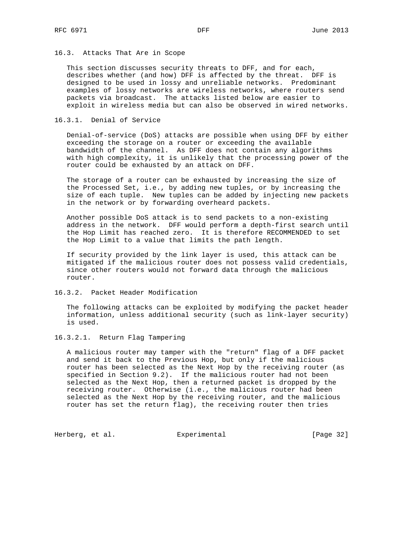## 16.3. Attacks That Are in Scope

 This section discusses security threats to DFF, and for each, describes whether (and how) DFF is affected by the threat. DFF is designed to be used in lossy and unreliable networks. Predominant examples of lossy networks are wireless networks, where routers send packets via broadcast. The attacks listed below are easier to exploit in wireless media but can also be observed in wired networks.

## 16.3.1. Denial of Service

 Denial-of-service (DoS) attacks are possible when using DFF by either exceeding the storage on a router or exceeding the available bandwidth of the channel. As DFF does not contain any algorithms with high complexity, it is unlikely that the processing power of the router could be exhausted by an attack on DFF.

 The storage of a router can be exhausted by increasing the size of the Processed Set, i.e., by adding new tuples, or by increasing the size of each tuple. New tuples can be added by injecting new packets in the network or by forwarding overheard packets.

 Another possible DoS attack is to send packets to a non-existing address in the network. DFF would perform a depth-first search until the Hop Limit has reached zero. It is therefore RECOMMENDED to set the Hop Limit to a value that limits the path length.

 If security provided by the link layer is used, this attack can be mitigated if the malicious router does not possess valid credentials, since other routers would not forward data through the malicious router.

16.3.2. Packet Header Modification

 The following attacks can be exploited by modifying the packet header information, unless additional security (such as link-layer security) is used.

16.3.2.1. Return Flag Tampering

 A malicious router may tamper with the "return" flag of a DFF packet and send it back to the Previous Hop, but only if the malicious router has been selected as the Next Hop by the receiving router (as specified in Section 9.2). If the malicious router had not been selected as the Next Hop, then a returned packet is dropped by the receiving router. Otherwise (i.e., the malicious router had been selected as the Next Hop by the receiving router, and the malicious router has set the return flag), the receiving router then tries

Herberg, et al. **Experimental** [Page 32]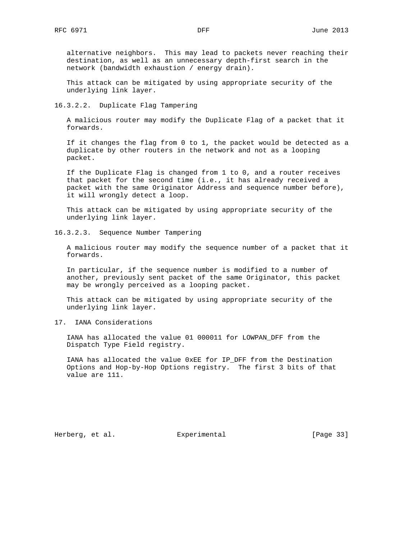alternative neighbors. This may lead to packets never reaching their destination, as well as an unnecessary depth-first search in the network (bandwidth exhaustion / energy drain).

 This attack can be mitigated by using appropriate security of the underlying link layer.

16.3.2.2. Duplicate Flag Tampering

 A malicious router may modify the Duplicate Flag of a packet that it forwards.

 If it changes the flag from 0 to 1, the packet would be detected as a duplicate by other routers in the network and not as a looping packet.

 If the Duplicate Flag is changed from 1 to 0, and a router receives that packet for the second time (i.e., it has already received a packet with the same Originator Address and sequence number before), it will wrongly detect a loop.

 This attack can be mitigated by using appropriate security of the underlying link layer.

16.3.2.3. Sequence Number Tampering

 A malicious router may modify the sequence number of a packet that it forwards.

 In particular, if the sequence number is modified to a number of another, previously sent packet of the same Originator, this packet may be wrongly perceived as a looping packet.

 This attack can be mitigated by using appropriate security of the underlying link layer.

17. IANA Considerations

 IANA has allocated the value 01 000011 for LOWPAN\_DFF from the Dispatch Type Field registry.

 IANA has allocated the value 0xEE for IP\_DFF from the Destination Options and Hop-by-Hop Options registry. The first 3 bits of that value are 111.

Herberg, et al. Experimental [Page 33]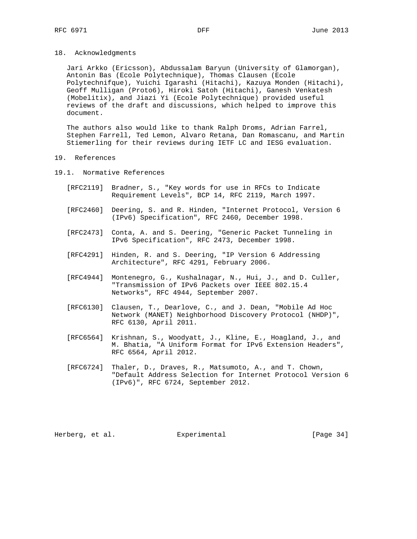18. Acknowledgments

 Jari Arkko (Ericsson), Abdussalam Baryun (University of Glamorgan), Antonin Bas (Ecole Polytechnique), Thomas Clausen (Ecole Polytechnifque), Yuichi Igarashi (Hitachi), Kazuya Monden (Hitachi), Geoff Mulligan (Proto6), Hiroki Satoh (Hitachi), Ganesh Venkatesh (Mobelitix), and Jiazi Yi (Ecole Polytechnique) provided useful reviews of the draft and discussions, which helped to improve this document.

 The authors also would like to thank Ralph Droms, Adrian Farrel, Stephen Farrell, Ted Lemon, Alvaro Retana, Dan Romascanu, and Martin Stiemerling for their reviews during IETF LC and IESG evaluation.

### 19. References

- 19.1. Normative References
	- [RFC2119] Bradner, S., "Key words for use in RFCs to Indicate Requirement Levels", BCP 14, RFC 2119, March 1997.
	- [RFC2460] Deering, S. and R. Hinden, "Internet Protocol, Version 6 (IPv6) Specification", RFC 2460, December 1998.
	- [RFC2473] Conta, A. and S. Deering, "Generic Packet Tunneling in IPv6 Specification", RFC 2473, December 1998.
	- [RFC4291] Hinden, R. and S. Deering, "IP Version 6 Addressing Architecture", RFC 4291, February 2006.
	- [RFC4944] Montenegro, G., Kushalnagar, N., Hui, J., and D. Culler, "Transmission of IPv6 Packets over IEEE 802.15.4 Networks", RFC 4944, September 2007.
	- [RFC6130] Clausen, T., Dearlove, C., and J. Dean, "Mobile Ad Hoc Network (MANET) Neighborhood Discovery Protocol (NHDP)", RFC 6130, April 2011.
	- [RFC6564] Krishnan, S., Woodyatt, J., Kline, E., Hoagland, J., and M. Bhatia, "A Uniform Format for IPv6 Extension Headers", RFC 6564, April 2012.
	- [RFC6724] Thaler, D., Draves, R., Matsumoto, A., and T. Chown, "Default Address Selection for Internet Protocol Version 6 (IPv6)", RFC 6724, September 2012.

Herberg, et al. Experimental [Page 34]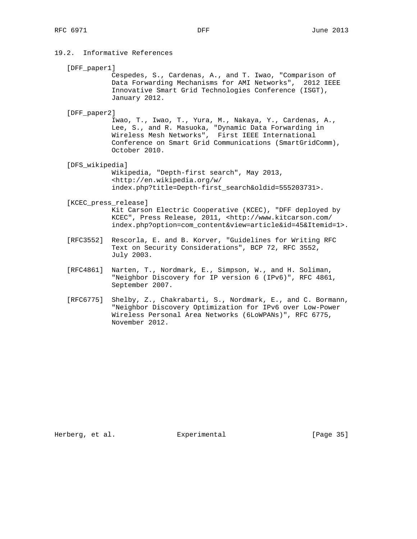# 19.2. Informative References

[DFF\_paper1]

 Cespedes, S., Cardenas, A., and T. Iwao, "Comparison of Data Forwarding Mechanisms for AMI Networks", 2012 IEEE Innovative Smart Grid Technologies Conference (ISGT), January 2012.

[DFF\_paper2]

 Iwao, T., Iwao, T., Yura, M., Nakaya, Y., Cardenas, A., Lee, S., and R. Masuoka, "Dynamic Data Forwarding in Wireless Mesh Networks", First IEEE International Conference on Smart Grid Communications (SmartGridComm), October 2010.

[DFS\_wikipedia]

 Wikipedia, "Depth-first search", May 2013, <http://en.wikipedia.org/w/ index.php?title=Depth-first\_search&oldid=555203731>.

#### [KCEC\_press\_release]

 Kit Carson Electric Cooperative (KCEC), "DFF deployed by KCEC", Press Release, 2011, <http://www.kitcarson.com/ index.php?option=com\_content&view=article&id=45&Itemid=1>.

- [RFC3552] Rescorla, E. and B. Korver, "Guidelines for Writing RFC Text on Security Considerations", BCP 72, RFC 3552, July 2003.
- [RFC4861] Narten, T., Nordmark, E., Simpson, W., and H. Soliman, "Neighbor Discovery for IP version 6 (IPv6)", RFC 4861, September 2007.
- [RFC6775] Shelby, Z., Chakrabarti, S., Nordmark, E., and C. Bormann, "Neighbor Discovery Optimization for IPv6 over Low-Power Wireless Personal Area Networks (6LoWPANs)", RFC 6775, November 2012.

Herberg, et al. **Experimental** [Page 35]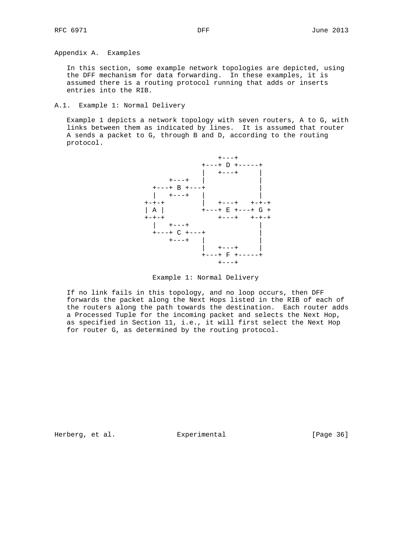Appendix A. Examples

 In this section, some example network topologies are depicted, using the DFF mechanism for data forwarding. In these examples, it is assumed there is a routing protocol running that adds or inserts entries into the RIB.

A.1. Example 1: Normal Delivery

 Example 1 depicts a network topology with seven routers, A to G, with links between them as indicated by lines. It is assumed that router A sends a packet to G, through B and D, according to the routing protocol.



Example 1: Normal Delivery

 If no link fails in this topology, and no loop occurs, then DFF forwards the packet along the Next Hops listed in the RIB of each of the routers along the path towards the destination. Each router adds a Processed Tuple for the incoming packet and selects the Next Hop, as specified in Section 11, i.e., it will first select the Next Hop for router G, as determined by the routing protocol.

Herberg, et al. Experimental [Page 36]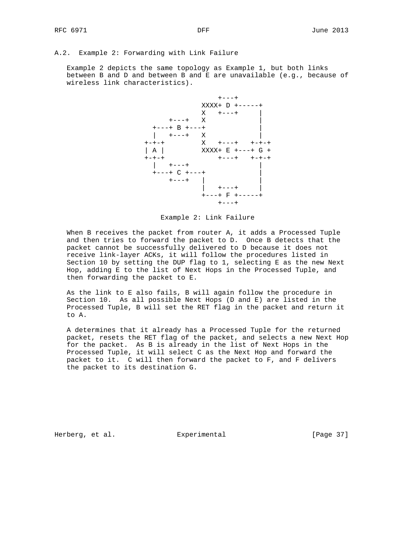```
A.2. Example 2: Forwarding with Link Failure
```
 Example 2 depicts the same topology as Example 1, but both links between B and D and between B and E are unavailable  $(e,q.)$  because of wireless link characteristics).



Example 2: Link Failure

 When B receives the packet from router A, it adds a Processed Tuple and then tries to forward the packet to D. Once B detects that the packet cannot be successfully delivered to D because it does not receive link-layer ACKs, it will follow the procedures listed in Section 10 by setting the DUP flag to 1, selecting E as the new Next Hop, adding E to the list of Next Hops in the Processed Tuple, and then forwarding the packet to E.

 As the link to E also fails, B will again follow the procedure in Section 10. As all possible Next Hops (D and E) are listed in the Processed Tuple, B will set the RET flag in the packet and return it to A.

 A determines that it already has a Processed Tuple for the returned packet, resets the RET flag of the packet, and selects a new Next Hop for the packet. As B is already in the list of Next Hops in the Processed Tuple, it will select C as the Next Hop and forward the packet to it. C will then forward the packet to F, and F delivers the packet to its destination G.

Herberg, et al. Experimental [Page 37]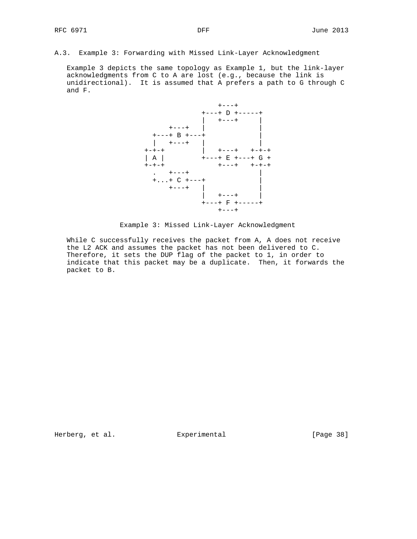A.3. Example 3: Forwarding with Missed Link-Layer Acknowledgment

 Example 3 depicts the same topology as Example 1, but the link-layer acknowledgments from C to A are lost (e.g., because the link is unidirectional). It is assumed that A prefers a path to G through C and F.



Example 3: Missed Link-Layer Acknowledgment

 While C successfully receives the packet from A, A does not receive the L2 ACK and assumes the packet has not been delivered to C. Therefore, it sets the DUP flag of the packet to 1, in order to indicate that this packet may be a duplicate. Then, it forwards the packet to B.

Herberg, et al. Experimental [Page 38]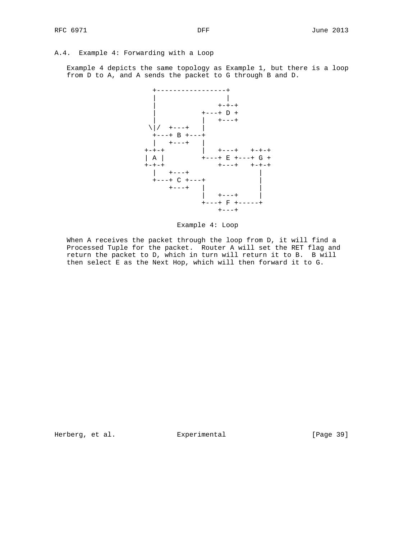# A.4. Example 4: Forwarding with a Loop

 Example 4 depicts the same topology as Example 1, but there is a loop from D to A, and A sends the packet to G through B and D.



Example 4: Loop

 When A receives the packet through the loop from D, it will find a Processed Tuple for the packet. Router A will set the RET flag and return the packet to D, which in turn will return it to B. B will then select E as the Next Hop, which will then forward it to G.

Herberg, et al. Experimental [Page 39]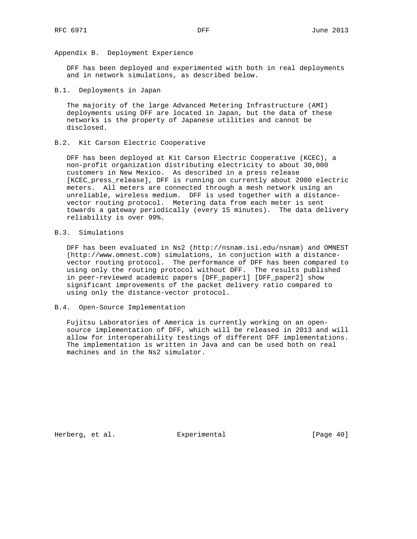Appendix B. Deployment Experience

 DFF has been deployed and experimented with both in real deployments and in network simulations, as described below.

#### B.1. Deployments in Japan

 The majority of the large Advanced Metering Infrastructure (AMI) deployments using DFF are located in Japan, but the data of these networks is the property of Japanese utilities and cannot be disclosed.

## B.2. Kit Carson Electric Cooperative

 DFF has been deployed at Kit Carson Electric Cooperative (KCEC), a non-profit organization distributing electricity to about 30,000 customers in New Mexico. As described in a press release [KCEC\_press\_release], DFF is running on currently about 2000 electric meters. All meters are connected through a mesh network using an unreliable, wireless medium. DFF is used together with a distance vector routing protocol. Metering data from each meter is sent towards a gateway periodically (every 15 minutes). The data delivery reliability is over 99%.

# B.3. Simulations

 DFF has been evaluated in Ns2 (http://nsnam.isi.edu/nsnam) and OMNEST (http://www.omnest.com) simulations, in conjuction with a distance vector routing protocol. The performance of DFF has been compared to using only the routing protocol without DFF. The results published in peer-reviewed academic papers [DFF\_paper1] [DFF\_paper2] show significant improvements of the packet delivery ratio compared to using only the distance-vector protocol.

### B.4. Open-Source Implementation

 Fujitsu Laboratories of America is currently working on an open source implementation of DFF, which will be released in 2013 and will allow for interoperability testings of different DFF implementations. The implementation is written in Java and can be used both on real machines and in the Ns2 simulator.

Herberg, et al. Experimental [Page 40]